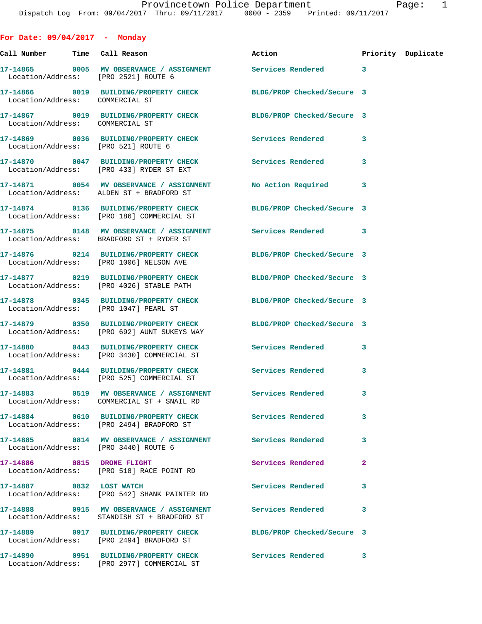**For Date: 09/04/2017 - Monday Call Number Time Call Reason Action Priority Duplicate 17-14865 0005 MV OBSERVANCE / ASSIGNMENT Services Rendered 3**  Location/Address: [PRO 2521] ROUTE 6 **17-14866 0019 BUILDING/PROPERTY CHECK BLDG/PROP Checked/Secure 3**  Location/Address: COMMERCIAL ST **17-14867 0019 BUILDING/PROPERTY CHECK BLDG/PROP Checked/Secure 3**  Location/Address: COMMERCIAL ST **17-14869 0036 BUILDING/PROPERTY CHECK Services Rendered 3**  Location/Address: [PRO 521] ROUTE 6 **17-14870 0047 BUILDING/PROPERTY CHECK Services Rendered 3**  Location/Address: [PRO 433] RYDER ST EXT **17-14871 0054 MV OBSERVANCE / ASSIGNMENT No Action Required 3**  Location/Address: ALDEN ST + BRADFORD ST **17-14874 0136 BUILDING/PROPERTY CHECK BLDG/PROP Checked/Secure 3**  Location/Address: [PRO 186] COMMERCIAL ST **17-14875 0148 MV OBSERVANCE / ASSIGNMENT Services Rendered 3**  Location/Address: BRADFORD ST + RYDER ST **17-14876 0214 BUILDING/PROPERTY CHECK BLDG/PROP Checked/Secure 3**  Location/Address: [PRO 1006] NELSON AVE **17-14877 0219 BUILDING/PROPERTY CHECK BLDG/PROP Checked/Secure 3**  Location/Address: [PRO 4026] STABLE PATH **17-14878 0345 BUILDING/PROPERTY CHECK BLDG/PROP Checked/Secure 3**  Location/Address: [PRO 1047] PEARL ST **17-14879 0350 BUILDING/PROPERTY CHECK BLDG/PROP Checked/Secure 3**  Location/Address: [PRO 692] AUNT SUKEYS WAY **17-14880 0443 BUILDING/PROPERTY CHECK Services Rendered 3**  Location/Address: [PRO 3430] COMMERCIAL ST **17-14881 0444 BUILDING/PROPERTY CHECK Services Rendered 3**  Location/Address: [PRO 525] COMMERCIAL ST **17-14883 0519 MV OBSERVANCE / ASSIGNMENT Services Rendered 3**  Location/Address: COMMERCIAL ST + SNAIL RD **17-14884 0610 BUILDING/PROPERTY CHECK Services Rendered 3**  Location/Address: [PRO 2494] BRADFORD ST **17-14885 0814 MV OBSERVANCE / ASSIGNMENT Services Rendered 3**  Location/Address: [PRO 3440] ROUTE 6 **17-14886 0815 DRONE FLIGHT Services Rendered 2**  Location/Address: [PRO 518] RACE POINT RD **17-14887 0832 LOST WATCH Services Rendered 3**  Location/Address: [PRO 542] SHANK PAINTER RD **17-14888 0915 MV OBSERVANCE / ASSIGNMENT Services Rendered 3**  Location/Address: STANDISH ST + BRADFORD ST **17-14889 0917 BUILDING/PROPERTY CHECK BLDG/PROP Checked/Secure 3**  Location/Address: [PRO 2494] BRADFORD ST **17-14890 0951 BUILDING/PROPERTY CHECK Services Rendered 3**  Location/Address: [PRO 2977] COMMERCIAL ST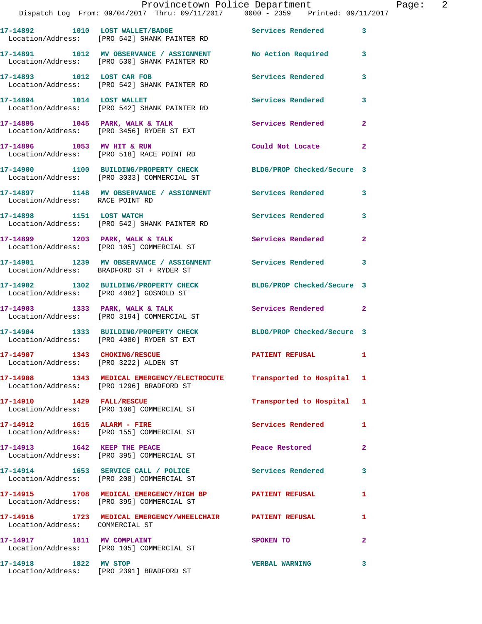**17-14891 1012 MV OBSERVANCE / ASSIGNMENT No Action Required 3**  Location/Address: [PRO 530] SHANK PAINTER RD **17-14893 1012 LOST CAR FOB Services Rendered 3**  Location/Address: [PRO 542] SHANK PAINTER RD

17-14894 1014 LOST WALLET **17-14894** 1014 Services Rendered 3 Location/Address: [PRO 542] SHANK PAINTER RD

17-14895 1045 PARK, WALK & TALK **Services Rendered** 2 Location/Address: [PRO 3456] RYDER ST EXT **17-14896 1053 MV HIT & RUN Could Not Locate 2** 

 Location/Address: [PRO 518] RACE POINT RD **17-14900 1100 BUILDING/PROPERTY CHECK BLDG/PROP Checked/Secure 3**  Location/Address: [PRO 3033] COMMERCIAL ST

**17-14897 1148 MV OBSERVANCE / ASSIGNMENT Services Rendered 3**  Location/Address: RACE POINT RD

**17-14898 1151 LOST WATCH Services Rendered 3**  Location/Address: [PRO 542] SHANK PAINTER RD

**17-14899 1203 PARK, WALK & TALK Services Rendered 2**  Location/Address: [PRO 105] COMMERCIAL ST

**17-14901 1239 MV OBSERVANCE / ASSIGNMENT Services Rendered 3**  Location/Address: BRADFORD ST + RYDER ST

**17-14902 1302 BUILDING/PROPERTY CHECK BLDG/PROP Checked/Secure 3**  Location/Address: [PRO 4082] GOSNOLD ST

17-14903 1333 PARK, WALK & TALK **Services Rendered** 2 Location/Address: [PRO 3194] COMMERCIAL ST

**17-14904 1333 BUILDING/PROPERTY CHECK BLDG/PROP Checked/Secure 3**  Location/Address: [PRO 4080] RYDER ST EXT

Location/Address: [PRO 3222] ALDEN ST

**17-14908 1343 MEDICAL EMERGENCY/ELECTROCUTE Transported to Hospital 1**  Location/Address: [PRO 1296] BRADFORD ST

Location/Address: [PRO 106] COMMERCIAL ST

Location/Address: [PRO 155] COMMERCIAL ST

Location/Address: [PRO 395] COMMERCIAL ST

Location/Address: [PRO 208] COMMERCIAL ST

Location/Address: [PRO 395] COMMERCIAL ST

Location/Address: COMMERCIAL ST

Location/Address: [PRO 105] COMMERCIAL ST

**17-14918 1822 MV STOP VERBAL WARNING 3**  Location/Address: [PRO 2391] BRADFORD ST

**17-14907 1343 CHOKING/RESCUE PATIENT REFUSAL 1** 

**17-14910 1429 FALL/RESCUE Transported to Hospital 1** 

**17-14912 1615 ALARM - FIRE Services Rendered 1** 

**17-14913 1642 KEEP THE PEACE Peace Restored 2** 

17-14914 1653 SERVICE CALL / POLICE 3 Services Rendered 3

**17-14915 1708 MEDICAL EMERGENCY/HIGH BP PATIENT REFUSAL 1** 

**17-14916 1723 MEDICAL EMERGENCY/WHEELCHAIR PATIENT REFUSAL 1** 

**17-14917 1811 MV COMPLAINT SPOKEN TO 2**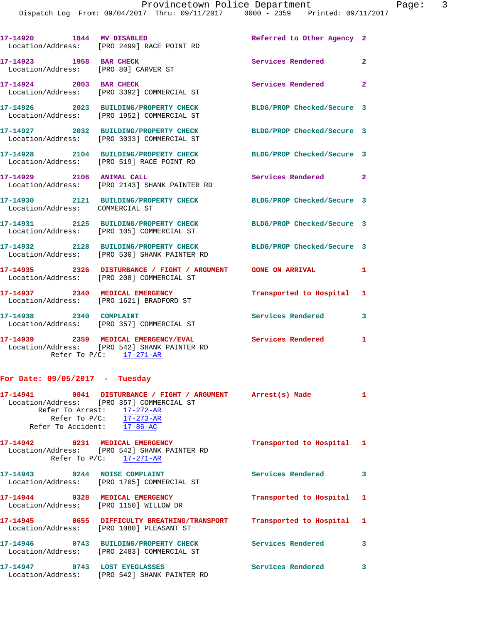|                                 | 17-14920 1844 MV DISABLED<br>Location/Address: [PRO 2499] RACE POINT RD                                            | Referred to Other Agency 2 |                |
|---------------------------------|--------------------------------------------------------------------------------------------------------------------|----------------------------|----------------|
| 17-14923 1958 BAR CHECK         | Location/Address: [PRO 80] CARVER ST                                                                               | Services Rendered          | $\overline{2}$ |
| 17-14924 2003 BAR CHECK         | Location/Address: [PRO 3392] COMMERCIAL ST                                                                         | Services Rendered 2        |                |
|                                 | 17-14926 2023 BUILDING/PROPERTY CHECK<br>Location/Address: [PRO 1952] COMMERCIAL ST                                | BLDG/PROP Checked/Secure 3 |                |
|                                 | 17-14927 2032 BUILDING/PROPERTY CHECK<br>Location/Address: [PRO 3033] COMMERCIAL ST                                | BLDG/PROP Checked/Secure 3 |                |
|                                 | 17-14928 2104 BUILDING/PROPERTY CHECK<br>Location/Address: [PRO 519] RACE POINT RD                                 | BLDG/PROP Checked/Secure 3 |                |
| 17-14929 2106 ANIMAL CALL       | Location/Address: [PRO 2143] SHANK PAINTER RD                                                                      | Services Rendered 2        |                |
| Location/Address: COMMERCIAL ST | 17-14930 2121 BUILDING/PROPERTY CHECK                                                                              | BLDG/PROP Checked/Secure 3 |                |
|                                 | 17-14931 2125 BUILDING/PROPERTY CHECK<br>Location/Address: [PRO 105] COMMERCIAL ST                                 | BLDG/PROP Checked/Secure 3 |                |
|                                 | 17-14932 2128 BUILDING/PROPERTY CHECK BLDG/PROP Checked/Secure 3<br>Location/Address: [PRO 530] SHANK PAINTER RD   |                            |                |
| Location/Address:               | 17-14935 2326 DISTURBANCE / FIGHT / ARGUMENT GONE ON ARRIVAL<br>[PRO 208] COMMERCIAL ST                            |                            | $\mathbf{1}$   |
| 17-14937 2340 MEDICAL EMERGENCY | Location/Address: [PRO 1621] BRADFORD ST                                                                           | Transported to Hospital 1  |                |
| 17-14938 2340 COMPLAINT         | Location/Address: [PRO 357] COMMERCIAL ST                                                                          | <b>Services Rendered</b>   | 3              |
|                                 | 17-14939 2359 MEDICAL EMERGENCY/EVAL<br>Location/Address: [PRO 542] SHANK PAINTER RD<br>Refer To $P/C$ : 17-271-AR | Services Rendered 1        |                |

## **For Date: 09/05/2017 - Tuesday**

| 17-14941<br>Refer To Arrest:<br>Refer To Accident: | 0041 DISTURBANCE / FIGHT / ARGUMENT<br>Location/Address: [PRO 357] COMMERCIAL ST<br>$17 - 272 - AR$<br>Refer To $P/C:$ 17-273-AR<br>$17 - 86 - AC$ | Arrest(s) Made            |   |
|----------------------------------------------------|----------------------------------------------------------------------------------------------------------------------------------------------------|---------------------------|---|
| 17-14942<br>0231                                   | MEDICAL EMERGENCY<br>Location/Address: [PRO 542] SHANK PAINTER RD<br>Refer To $P/C:$ 17-271-AR                                                     | Transported to Hospital 1 |   |
| 17-14943<br>0244                                   | <b>NOISE COMPLAINT</b><br>Location/Address: [PRO 1705] COMMERCIAL ST                                                                               | Services Rendered         | 3 |
| 17-14944<br>0328                                   | MEDICAL EMERGENCY<br>Location/Address: [PRO 1150] WILLOW DR                                                                                        | Transported to Hospital 1 |   |
| 17-14945                                           | 0655<br>DIFFICULTY BREATHING/TRANSPORT                                                                                                             | Transported to Hospital   |   |

 Location/Address: [PRO 1080] PLEASANT ST **17-14946 0743 BUILDING/PROPERTY CHECK Services Rendered 3**  Location/Address: [PRO 2483] COMMERCIAL ST 17-14947 0743 LOST EYEGLASSES **Services Rendered** 3 Location/Address: [PRO 542] SHANK PAINTER RD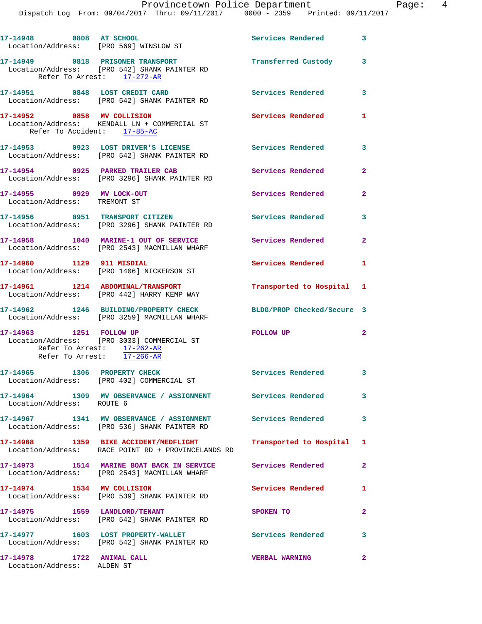| 17-14948 0808 AT SCHOOL                                                             | Location/Address: [PRO 569] WINSLOW ST                                                                         | Services Rendered          | $\overline{\mathbf{3}}$ |
|-------------------------------------------------------------------------------------|----------------------------------------------------------------------------------------------------------------|----------------------------|-------------------------|
|                                                                                     | 17-14949 0818 PRISONER TRANSPORT<br>Location/Address: [PRO 542] SHANK PAINTER RD<br>Refer To Arrest: 17-272-AR | Transferred Custody 3      |                         |
| 17-14951 0848 LOST CREDIT CARD                                                      | Location/Address: [PRO 542] SHANK PAINTER RD                                                                   | Services Rendered 3        |                         |
| 17-14952 0858 MV COLLISION<br>Refer To Accident: 17-85-AC                           | Location/Address: KENDALL LN + COMMERCIAL ST                                                                   | Services Rendered 1        |                         |
|                                                                                     | 17-14953 0923 LOST DRIVER'S LICENSE<br>Location/Address: [PRO 542] SHANK PAINTER RD                            | <b>Services Rendered</b>   | $\overline{\mathbf{3}}$ |
| 17-14954 0925 PARKED TRAILER CAB                                                    | Location/Address: [PRO 3296] SHANK PAINTER RD                                                                  | Services Rendered          | $\mathbf{2}$            |
| 17-14955 0929 MV LOCK-OUT<br>Location/Address: TREMONT ST                           |                                                                                                                | <b>Services Rendered</b>   | $\overline{2}$          |
|                                                                                     | 17-14956 0951 TRANSPORT CITIZEN<br>Location/Address: [PRO 3296] SHANK PAINTER RD                               | <b>Services Rendered</b>   | $\mathbf{3}$            |
|                                                                                     | 17-14958 1040 MARINE-1 OUT OF SERVICE<br>Location/Address: [PRO 2543] MACMILLAN WHARF                          | Services Rendered 2        |                         |
| 17-14960 1129 911 MISDIAL                                                           | Location/Address: [PRO 1406] NICKERSON ST                                                                      | Services Rendered 1        |                         |
|                                                                                     | 17-14961 1214 ABDOMINAL/TRANSPORT<br>Location/Address: [PRO 442] HARRY KEMP WAY                                | Transported to Hospital 1  |                         |
|                                                                                     | 17-14962 1246 BUILDING/PROPERTY CHECK<br>Location/Address: [PRO 3259] MACMILLAN WHARF                          | BLDG/PROP Checked/Secure 3 |                         |
| 17-14963 1251 FOLLOW UP<br>Refer To Arrest: 17-262-AR<br>Refer To Arrest: 17-266-AR | Location/Address: [PRO 3033] COMMERCIAL ST                                                                     | FOLLOW UP                  | $\overline{2}$          |
| 17-14965 1306 PROPERTY CHECK                                                        | Location/Address: [PRO 402] COMMERCIAL ST                                                                      | Services Rendered 3        |                         |
| Location/Address: ROUTE 6                                                           | 17-14964 1309 MV OBSERVANCE / ASSIGNMENT Services Rendered                                                     |                            | 3                       |
|                                                                                     | 17-14967 1341 MV OBSERVANCE / ASSIGNMENT Services Rendered<br>Location/Address: [PRO 536] SHANK PAINTER RD     |                            | 3                       |
|                                                                                     | 17-14968 1359 BIKE ACCIDENT/MEDFLIGHT<br>Location/Address: RACE POINT RD + PROVINCELANDS RD                    | Transported to Hospital 1  |                         |
|                                                                                     | 17-14973 1514 MARINE BOAT BACK IN SERVICE Services Rendered<br>Location/Address: [PRO 2543] MACMILLAN WHARF    |                            | $\mathbf{2}$            |
| 17-14974 1534 MV COLLISION                                                          | Location/Address: [PRO 539] SHANK PAINTER RD                                                                   | Services Rendered          | 1                       |
| 17-14975   1559 LANDLORD/TENANT                                                     | Location/Address: [PRO 542] SHANK PAINTER RD                                                                   | SPOKEN TO                  | $\overline{2}$          |
|                                                                                     | 17-14977 1603 LOST PROPERTY-WALLET<br>Location/Address: [PRO 542] SHANK PAINTER RD                             | <b>Services Rendered</b>   | 3                       |
| 17-14978 1722 ANIMAL CALL<br>Location/Address: ALDEN ST                             |                                                                                                                | <b>VERBAL WARNING</b>      | $\overline{2}$          |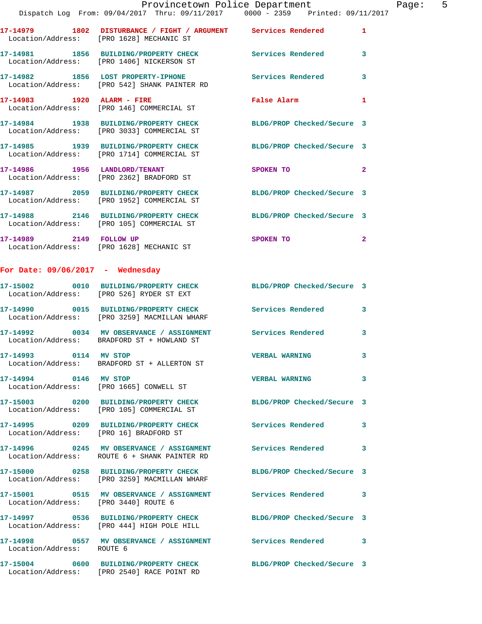|                                  | Provincetown Police Department                                                                                 |                            |                         |
|----------------------------------|----------------------------------------------------------------------------------------------------------------|----------------------------|-------------------------|
|                                  | Dispatch Log From: 09/04/2017 Thru: 09/11/2017 0000 - 2359 Printed: 09/11/2017                                 |                            |                         |
|                                  | 17-14979 1802 DISTURBANCE / FIGHT / ARGUMENT Services Rendered<br>Location/Address: [PRO 1628] MECHANIC ST     |                            | $\mathbf{1}$            |
|                                  | 17-14981 1856 BUILDING/PROPERTY CHECK<br>Location/Address: [PRO 1406] NICKERSON ST                             | Services Rendered          | $\mathbf{3}$            |
|                                  | 17-14982 1856 LOST PROPERTY-IPHONE<br>Location/Address: [PRO 542] SHANK PAINTER RD                             | <b>Services Rendered</b>   | $\overline{\mathbf{3}}$ |
|                                  | Location/Address: [PRO 146] COMMERCIAL ST                                                                      | <b>False Alarm</b>         | $\mathbf{1}$            |
|                                  | 17-14984 1938 BUILDING/PROPERTY CHECK BLDG/PROP Checked/Secure 3<br>Location/Address: [PRO 3033] COMMERCIAL ST |                            |                         |
|                                  | 17-14985 1939 BUILDING/PROPERTY CHECK BLDG/PROP Checked/Secure 3<br>Location/Address: [PRO 1714] COMMERCIAL ST |                            |                         |
|                                  | 17-14986 1956 LANDLORD/TENANT<br>Location/Address: [PRO 2362] BRADFORD ST                                      | SPOKEN TO                  | $\overline{2}$          |
|                                  | 17-14987 2059 BUILDING/PROPERTY CHECK BLDG/PROP Checked/Secure 3<br>Location/Address: [PRO 1952] COMMERCIAL ST |                            |                         |
|                                  | 17-14988 2146 BUILDING/PROPERTY CHECK<br>Location/Address: [PRO 105] COMMERCIAL ST                             | BLDG/PROP Checked/Secure 3 |                         |
|                                  | 17-14989 2149 FOLLOW UP<br>Location/Address: [PRO 1628] MECHANIC ST                                            | SPOKEN TO                  | $\overline{2}$          |
| For Date: 09/06/2017 - Wednesday |                                                                                                                |                            |                         |

## **17-15002 0010 BUILDING/PROPERTY CHECK BLDG/PROP Checked/Secure 3**  Location/Address: [PRO 526] RYDER ST EXT **17-14990 0015 BUILDING/PROPERTY CHECK Services Rendered 3**  Location/Address: [PRO 3259] MACMILLAN WHARF **17-14992 0034 MV OBSERVANCE / ASSIGNMENT Services Rendered 3**  Location/Address: BRADFORD ST + HOWLAND ST **17-14993 0114 MV STOP VERBAL WARNING 3**  BRADFORD ST + ALLERTON ST **17-14994 0146 MV STOP VERBAL WARNING 3**  Location/Address: [PRO 1665] CONWELL ST **17-15003 0200 BUILDING/PROPERTY CHECK BLDG/PROP Checked/Secure 3**  Location/Address: [PRO 105] COMMERCIAL ST **17-14995 0209 BUILDING/PROPERTY CHECK Services Rendered 3**  Location/Address: [PRO 16] BRADFORD ST **17-14996 0245 MV OBSERVANCE / ASSIGNMENT Services Rendered 3**  Location/Address: ROUTE 6 + SHANK PAINTER RD **17-15000 0258 BUILDING/PROPERTY CHECK BLDG/PROP Checked/Secure 3**  Location/Address: [PRO 3259] MACMILLAN WHARF **17-15001 0515 MV OBSERVANCE / ASSIGNMENT Services Rendered 3**  Location/Address: [PRO 3440] ROUTE 6 **17-14997 0536 BUILDING/PROPERTY CHECK BLDG/PROP Checked/Secure 3**  Location/Address: [PRO 444] HIGH POLE HILL

**17-14998 0557 MV OBSERVANCE / ASSIGNMENT Services Rendered 3**  Location/Address: ROUTE 6

Location/Address: [PRO 2540] RACE POINT RD

**17-15004 0600 BUILDING/PROPERTY CHECK BLDG/PROP Checked/Secure 3** 

Page: 5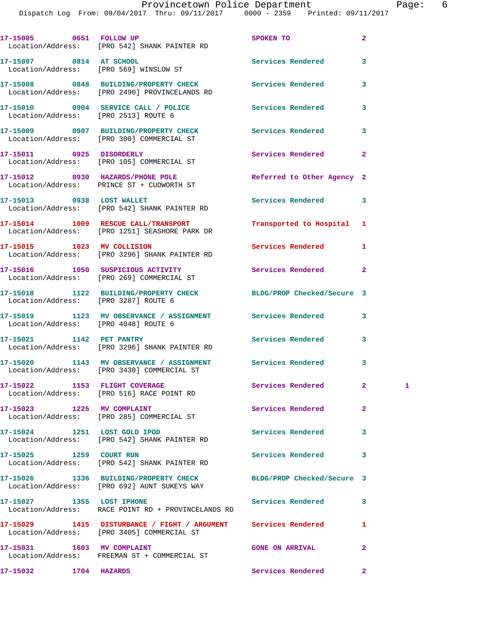Dispatch Log From: 09/04/2017 Thru: 09/11/2017 0000 - 2359 Printed: 09/11/2017

|                                      | 17-15005 0651 FOLLOW UP<br>Location/Address: [PRO 542] SHANK PAINTER RD                                      | SPOKEN TO                  | $\overline{a}$ |              |
|--------------------------------------|--------------------------------------------------------------------------------------------------------------|----------------------------|----------------|--------------|
| 17-15007 0814 AT SCHOOL              | Location/Address: [PRO 569] WINSLOW ST                                                                       | Services Rendered          | 3              |              |
|                                      | 17-15008 0848 BUILDING/PROPERTY CHECK<br>Location/Address: [PRO 2490] PROVINCELANDS RD                       | <b>Services Rendered</b>   | 3              |              |
| Location/Address: [PRO 2513] ROUTE 6 | 17-15010 0904 SERVICE CALL / POLICE                                                                          | <b>Services Rendered</b>   | 3              |              |
|                                      | 17-15009 0907 BUILDING/PROPERTY CHECK<br>Location/Address: [PRO 300] COMMERCIAL ST                           | <b>Services Rendered</b>   | 3              |              |
| 17-15011 0925 DISORDERLY             | Location/Address: [PRO 105] COMMERCIAL ST                                                                    | Services Rendered          | $\overline{a}$ |              |
|                                      | 17-15012 0930 HAZARDS/PHONE POLE<br>Location/Address: PRINCE ST + CUDWORTH ST                                | Referred to Other Agency 2 |                |              |
| 17-15013 0938 LOST WALLET            | Location/Address: [PRO 542] SHANK PAINTER RD                                                                 | Services Rendered          | 3              |              |
|                                      | 17-15014 1009 RESCUE CALL/TRANSPORT<br>Location/Address: [PRO 1251] SEASHORE PARK DR                         | Transported to Hospital    | 1              |              |
| 17-15015 1023 MV COLLISION           | Location/Address: [PRO 3296] SHANK PAINTER RD                                                                | Services Rendered          | 1              |              |
|                                      | 17-15016 1050 SUSPICIOUS ACTIVITY<br>Location/Address: [PRO 269] COMMERCIAL ST                               | Services Rendered          | $\overline{2}$ |              |
| Location/Address: [PRO 3287] ROUTE 6 | 17-15018 1122 BUILDING/PROPERTY CHECK                                                                        | BLDG/PROP Checked/Secure 3 |                |              |
| Location/Address: [PRO 4048] ROUTE 6 | 17-15019 1123 MV OBSERVANCE / ASSIGNMENT Services Rendered                                                   |                            | 3              |              |
| 17-15021 1142 PET PANTRY             | Location/Address: [PRO 3296] SHANK PAINTER RD                                                                | Services Rendered          | 3              |              |
|                                      | 17-15020 1143 MV OBSERVANCE / ASSIGNMENT Services Rendered<br>Location/Address: [PRO 3430] COMMERCIAL ST     |                            | 3              |              |
|                                      | 17-15022 1153 FLIGHT COVERAGE<br>Location/Address: [PRO 516] RACE POINT RD                                   | Services Rendered          | $\mathbf{2}$   | $\mathbf{1}$ |
|                                      | 17-15023 1225 MV COMPLAINT<br>Location/Address: [PRO 285] COMMERCIAL ST                                      | Services Rendered          | $\mathbf{2}$   |              |
| 17-15024 1251 LOST GOLD IPOD         | Location/Address: [PRO 542] SHANK PAINTER RD                                                                 | Services Rendered          | 3              |              |
| 17-15025 1259 COURT RUN              | Location/Address: [PRO 542] SHANK PAINTER RD                                                                 | Services Rendered          | 3              |              |
|                                      | 17-15026 1336 BUILDING/PROPERTY CHECK<br>Location/Address: [PRO 692] AUNT SUKEYS WAY                         | BLDG/PROP Checked/Secure 3 |                |              |
| 17-15027 1355 LOST IPHONE            | Location/Address: RACE POINT RD + PROVINCELANDS RD                                                           | Services Rendered          | 3              |              |
|                                      | 17-15029 1415 DISTURBANCE / FIGHT / ARGUMENT Services Rendered<br>Location/Address: [PRO 3405] COMMERCIAL ST |                            | 1              |              |
|                                      | Location/Address: FREEMAN ST + COMMERCIAL ST                                                                 | <b>GONE ON ARRIVAL</b>     | $\overline{a}$ |              |
| 17-15032 1704 HAZARDS                |                                                                                                              | Services Rendered          | $\mathbf{2}$   |              |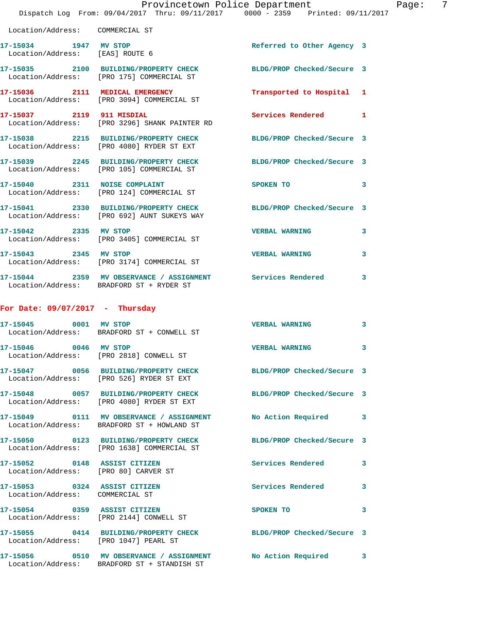|                                                                 | Dispatch Log From: 09/04/2017 Thru: 09/11/2017 0000 - 2359 Printed: 09/11/2017                                  | Provincetown Police Department        | - 7<br>Page: |
|-----------------------------------------------------------------|-----------------------------------------------------------------------------------------------------------------|---------------------------------------|--------------|
| Location/Address: COMMERCIAL ST                                 |                                                                                                                 |                                       |              |
| 17-15034 1947 MV STOP                                           | Location/Address: [EAS] ROUTE 6                                                                                 | Referred to Other Agency 3            |              |
|                                                                 | 17-15035 2100 BUILDING/PROPERTY CHECK BLDG/PROP Checked/Secure 3<br>Location/Address: [PRO 175] COMMERCIAL ST   |                                       |              |
|                                                                 | 17-15036 2111 MEDICAL EMERGENCY<br>Location/Address: [PRO 3094] COMMERCIAL ST                                   | Transported to Hospital 1             |              |
|                                                                 | 17-15037 2119 911 MISDIAL<br>Location/Address: [PRO 3296] SHANK PAINTER RD                                      | Services Rendered 1                   |              |
|                                                                 | 17-15038 2215 BUILDING/PROPERTY CHECK<br>Location/Address: [PRO 4080] RYDER ST EXT                              | BLDG/PROP Checked/Secure 3            |              |
|                                                                 | 17-15039 2245 BUILDING/PROPERTY CHECK<br>Location/Address: [PRO 105] COMMERCIAL ST                              | BLDG/PROP Checked/Secure 3            |              |
|                                                                 | 17-15040 2311 NOISE COMPLAINT<br>Location/Address: [PRO 124] COMMERCIAL ST                                      | SPOKEN TO THE SPOKEN OF THE SPOKEN TO | $\mathbf{3}$ |
|                                                                 | 17-15041 2330 BUILDING/PROPERTY CHECK BLDG/PROP Checked/Secure 3<br>Location/Address: [PRO 692] AUNT SUKEYS WAY |                                       |              |
| 17-15042 2335 MV STOP                                           | Location/Address: [PRO 3405] COMMERCIAL ST                                                                      | <b>VERBAL WARNING</b>                 | 3            |
|                                                                 | 17-15043 2345 MV STOP<br>Location/Address: [PRO 3174] COMMERCIAL ST                                             | <b>VERBAL WARNING</b>                 | 3            |
|                                                                 | 17-15044 2359 MV OBSERVANCE / ASSIGNMENT Services Rendered<br>Location/Address: BRADFORD ST + RYDER ST          |                                       | 3            |
| For Date: $09/07/2017$ - Thursday                               |                                                                                                                 |                                       |              |
| 17-15045 0001 MV STOP                                           | Location/Address: BRADFORD ST + CONWELL ST                                                                      | <b>VERBAL WARNING</b>                 | 3            |
| 17-15046 0046 MV STOP                                           | Location/Address: [PRO 2818] CONWELL ST                                                                         | <b>VERBAL WARNING</b>                 | 3            |
|                                                                 | 17-15047 0056 BUILDING/PROPERTY CHECK BLDG/PROP Checked/Secure 3<br>Location/Address: [PRO 526] RYDER ST EXT    |                                       |              |
|                                                                 | 17-15048 0057 BUILDING/PROPERTY CHECK<br>Location/Address: [PRO 4080] RYDER ST EXT                              | BLDG/PROP Checked/Secure 3            |              |
|                                                                 | 17-15049 0111 MV OBSERVANCE / ASSIGNMENT<br>Location/Address: BRADFORD ST + HOWLAND ST                          | No Action Required 3                  |              |
|                                                                 | 17-15050 0123 BUILDING/PROPERTY CHECK<br>Location/Address: [PRO 1638] COMMERCIAL ST                             | BLDG/PROP Checked/Secure 3            |              |
| Location/Address: [PRO 80] CARVER ST                            | 17-15052 0148 ASSIST CITIZEN                                                                                    | Services Rendered 3                   |              |
| 17-15053 0324 ASSIST CITIZEN<br>Location/Address: COMMERCIAL ST |                                                                                                                 | Services Rendered 3                   |              |
|                                                                 | 17-15054 0359 ASSIST CITIZEN<br>Location/Address: [PRO 2144] CONWELL ST                                         | SPOKEN TO                             | 3            |
| Location/Address: [PRO 1047] PEARL ST                           | 17-15055 0414 BUILDING/PROPERTY CHECK BLDG/PROP Checked/Secure 3                                                |                                       |              |
|                                                                 | 17-15056 0510 MV OBSERVANCE / ASSIGNMENT No Action Required 3<br>Location/Address: BRADFORD ST + STANDISH ST    |                                       |              |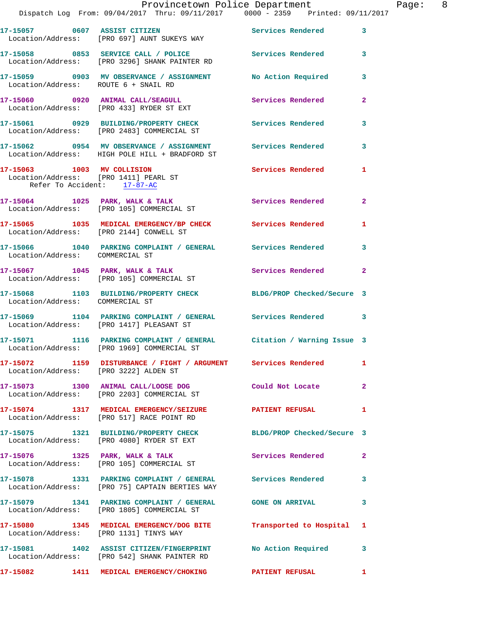|                                                                                                    | 17-15057 0607 ASSIST CITIZEN<br>Location/Address: [PRO 697] AUNT SUKEYS WAY                                        | <b>Services Rendered</b>   | $\mathbf{3}$            |
|----------------------------------------------------------------------------------------------------|--------------------------------------------------------------------------------------------------------------------|----------------------------|-------------------------|
|                                                                                                    | 17-15058 0853 SERVICE CALL / POLICE Services Rendered<br>Location/Address: [PRO 3296] SHANK PAINTER RD             |                            | $\mathbf{3}$            |
| Location/Address: ROUTE 6 + SNAIL RD                                                               | 17-15059 0903 MV OBSERVANCE / ASSIGNMENT                                                                           | No Action Required         | 3                       |
|                                                                                                    | 17-15060 0920 ANIMAL CALL/SEAGULL<br>Location/Address: [PRO 433] RYDER ST EXT                                      | Services Rendered          | $\mathbf{2}$            |
|                                                                                                    | 17-15061 0929 BUILDING/PROPERTY CHECK<br>Location/Address: [PRO 2483] COMMERCIAL ST                                | Services Rendered          | 3                       |
|                                                                                                    | 17-15062 0954 MV OBSERVANCE / ASSIGNMENT<br>Location/Address: HIGH POLE HILL + BRADFORD ST                         | <b>Services Rendered</b>   | $\mathbf{3}$            |
| 17-15063 1003 MV COLLISION<br>Location/Address: [PRO 1411] PEARL ST<br>Refer To Accident: 17-87-AC |                                                                                                                    | Services Rendered          | $\mathbf{1}$            |
|                                                                                                    | $17 - 15064$ 1025 PARK, WALK & TALK<br>Location/Address: [PRO 105] COMMERCIAL ST                                   | <b>Services Rendered</b>   | $\mathbf{2}$            |
|                                                                                                    | 17-15065 1035 MEDICAL EMERGENCY/BP CHECK Services Rendered<br>Location/Address: [PRO 2144] CONWELL ST              |                            | $\mathbf{1}$            |
| Location/Address: COMMERCIAL ST                                                                    | 17-15066 1040 PARKING COMPLAINT / GENERAL Services Rendered                                                        |                            | 3                       |
|                                                                                                    | 17-15067 1045 PARK, WALK & TALK<br>Location/Address: [PRO 105] COMMERCIAL ST                                       | <b>Services Rendered</b> 2 |                         |
| Location/Address: COMMERCIAL ST                                                                    | 17-15068 1103 BUILDING/PROPERTY CHECK                                                                              | BLDG/PROP Checked/Secure 3 |                         |
|                                                                                                    | 17-15069 1104 PARKING COMPLAINT / GENERAL Services Rendered 3<br>Location/Address: [PRO 1417] PLEASANT ST          |                            |                         |
|                                                                                                    | 17-15071 1116 PARKING COMPLAINT / GENERAL Citation / Warning Issue 3<br>Location/Address: [PRO 1969] COMMERCIAL ST |                            |                         |
|                                                                                                    | 17-15072 1159 DISTURBANCE / FIGHT / ARGUMENT Services Rendered 1<br>Location/Address: [PRO 3222] ALDEN ST          |                            |                         |
|                                                                                                    | 17-15073 1300 ANIMAL CALL/LOOSE DOG<br>Location/Address: [PRO 2203] COMMERCIAL ST                                  | Could Not Locate           | $\overline{\mathbf{2}}$ |
|                                                                                                    | 17-15074 1317 MEDICAL EMERGENCY/SEIZURE<br>Location/Address: [PRO 517] RACE POINT RD                               | PATIENT REFUSAL 1          |                         |
|                                                                                                    | 17-15075 1321 BUILDING/PROPERTY CHECK<br>Location/Address: [PRO 4080] RYDER ST EXT                                 | BLDG/PROP Checked/Secure 3 |                         |
|                                                                                                    | 17-15076 1325 PARK, WALK & TALK<br>Location/Address: [PRO 105] COMMERCIAL ST                                       | Services Rendered 2        |                         |
|                                                                                                    | 17-15078 1331 PARKING COMPLAINT / GENERAL Services Rendered<br>Location/Address: [PRO 75] CAPTAIN BERTIES WAY      |                            | $\mathbf{3}$            |
|                                                                                                    | 17-15079 1341 PARKING COMPLAINT / GENERAL GONE ON ARRIVAL<br>Location/Address: [PRO 1805] COMMERCIAL ST            |                            | $\mathbf{3}$            |
| Location/Address: [PRO 1131] TINYS WAY                                                             | 17-15080 1345 MEDICAL EMERGENCY/DOG BITE Transported to Hospital 1                                                 |                            |                         |
|                                                                                                    | 17-15081 1402 ASSIST CITIZEN/FINGERPRINT No Action Required 3<br>Location/Address: [PRO 542] SHANK PAINTER RD      |                            |                         |
|                                                                                                    | 17-15082 1411 MEDICAL EMERGENCY/CHOKING PATIENT REFUSAL 1                                                          |                            |                         |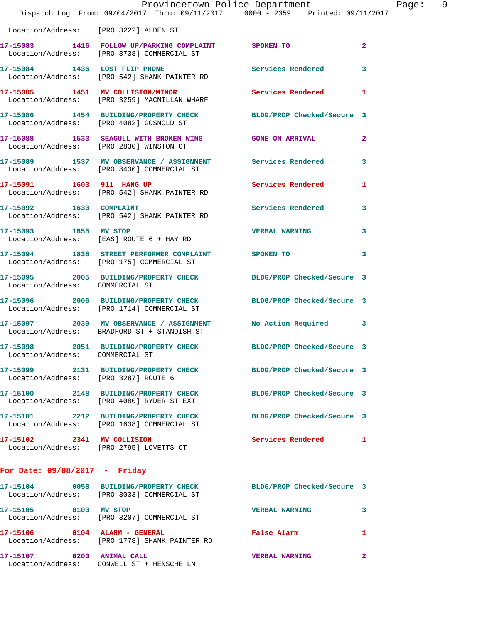|                                         | Dispatch Log From: 09/04/2017 Thru: 09/11/2017 0000 - 2359 Printed: 09/11/2017                                 | Provincetown Police Department |              | Page: 9 |  |
|-----------------------------------------|----------------------------------------------------------------------------------------------------------------|--------------------------------|--------------|---------|--|
|                                         | Location/Address: [PRO 3222] ALDEN ST                                                                          |                                |              |         |  |
|                                         | 17-15083 1416 FOLLOW UP/PARKING COMPLAINT SPOKEN TO<br>Location/Address: [PRO 3738] COMMERCIAL ST              |                                | $\mathbf{2}$ |         |  |
|                                         | 17-15084 1436 LOST FLIP PHONE Services Rendered<br>Location/Address: [PRO 542] SHANK PAINTER RD                |                                | 3            |         |  |
|                                         | 17-15085 1451 MV COLLISION/MINOR<br>Location/Address: [PRO 3259] MACMILLAN WHARF                               | Services Rendered 1            |              |         |  |
|                                         | 17-15086 1454 BUILDING/PROPERTY CHECK BLDG/PROP Checked/Secure 3<br>Location/Address: [PRO 4082] GOSNOLD ST    |                                |              |         |  |
| Location/Address: [PRO 2830] WINSTON CT | 17-15088 1533 SEAGULL WITH BROKEN WING GONE ON ARRIVAL 2                                                       |                                |              |         |  |
|                                         | 17-15089 1537 MV OBSERVANCE / ASSIGNMENT Services Rendered<br>Location/Address: [PRO 3430] COMMERCIAL ST       |                                | 3            |         |  |
|                                         | 17-15091 1603 911 HANG UP 10 Services Rendered 1<br>Location/Address: [PRO 542] SHANK PAINTER RD               |                                |              |         |  |
|                                         | 17-15092 1633 COMPLAINT<br>Location/Address: [PRO 542] SHANK PAINTER RD                                        | Services Rendered 3            |              |         |  |
| 17-15093 1655 MV STOP                   | Location/Address: [EAS] ROUTE 6 + HAY RD                                                                       | <b>VERBAL WARNING</b>          | 3            |         |  |
|                                         | 17-15094 1838 STREET PERFORMER COMPLAINT SPOKEN TO<br>Location/Address: [PRO 175] COMMERCIAL ST                |                                | 3            |         |  |
| Location/Address: COMMERCIAL ST         | 17-15095 2005 BUILDING/PROPERTY CHECK BLDG/PROP Checked/Secure 3                                               |                                |              |         |  |
|                                         | 17-15096 2006 BUILDING/PROPERTY CHECK BLDG/PROP Checked/Secure 3<br>Location/Address: [PRO 1714] COMMERCIAL ST |                                |              |         |  |
|                                         | 17-15097 2039 MV OBSERVANCE / ASSIGNMENT No Action Required 3<br>Location/Address: BRADFORD ST + STANDISH ST   |                                |              |         |  |
| Location/Address: COMMERCIAL ST         | 17-15098 2051 BUILDING/PROPERTY CHECK                                                                          | BLDG/PROP Checked/Secure 3     |              |         |  |
| Location/Address: [PRO 3287] ROUTE 6    | 17-15099 2131 BUILDING/PROPERTY CHECK                                                                          | BLDG/PROP Checked/Secure 3     |              |         |  |
|                                         | 17-15100 2148 BUILDING/PROPERTY CHECK<br>Location/Address: [PRO 4080] RYDER ST EXT                             | BLDG/PROP Checked/Secure 3     |              |         |  |
|                                         | 17-15101 2212 BUILDING/PROPERTY CHECK<br>Location/Address: [PRO 1638] COMMERCIAL ST                            | BLDG/PROP Checked/Secure 3     |              |         |  |
| 17-15102 2341 MV COLLISION              | Location/Address: [PRO 2795] LOVETTS CT                                                                        | Services Rendered              | 1            |         |  |
| For Date: $09/08/2017$ - Friday         |                                                                                                                |                                |              |         |  |
|                                         | 17-15104 0058 BUILDING/PROPERTY CHECK BLDG/PROP Checked/Secure 3<br>Location/Address: [PRO 3033] COMMERCIAL ST |                                |              |         |  |

 Location/Address: [PRO 3033] COMMERCIAL ST **17-15105 0103 MV STOP VERBAL WARNING 3**  Location/Address: [PRO 3207] COMMERCIAL ST **17-15106 0104 ALARM - GENERAL False Alarm 1**  Location/Address: [PRO 1778] SHANK PAINTER RD **17-15107 0200 ANIMAL CALL VERBAL WARNING 2**  Location/Address: CONWELL ST + HENSCHE LN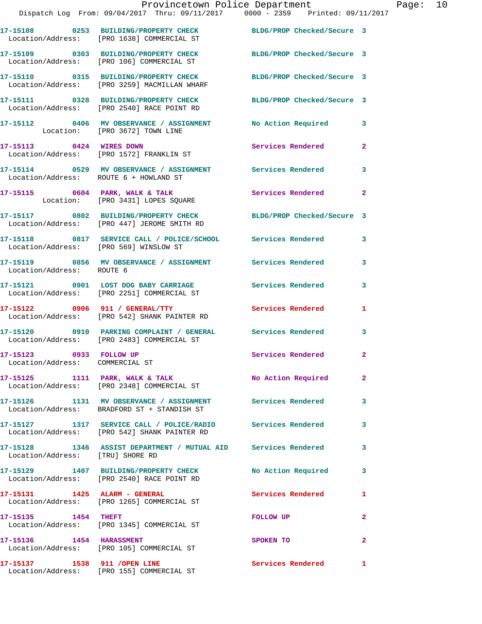|                                                            | 17-15108 0253 BUILDING/PROPERTY CHECK<br>Location/Address: [PRO 1638] COMMERCIAL ST                             | BLDG/PROP Checked/Secure 3 |                         |
|------------------------------------------------------------|-----------------------------------------------------------------------------------------------------------------|----------------------------|-------------------------|
|                                                            | 17-15109 0303 BUILDING/PROPERTY CHECK<br>Location/Address: [PRO 106] COMMERCIAL ST                              | BLDG/PROP Checked/Secure 3 |                         |
|                                                            | 17-15110 0315 BUILDING/PROPERTY CHECK<br>Location/Address: [PRO 3259] MACMILLAN WHARF                           | BLDG/PROP Checked/Secure 3 |                         |
|                                                            | 17-15111 0328 BUILDING/PROPERTY CHECK<br>Location/Address: [PRO 2540] RACE POINT RD                             | BLDG/PROP Checked/Secure 3 |                         |
|                                                            | 17-15112 0406 MV OBSERVANCE / ASSIGNMENT No Action Required<br>Location: [PRO 3672] TOWN LINE                   |                            | 3                       |
| 17-15113 0424 WIRES DOWN                                   | Location/Address: [PRO 1572] FRANKLIN ST                                                                        | Services Rendered          | $\overline{2}$          |
| Location/Address: ROUTE 6 + HOWLAND ST                     | 17-15114 0529 MV OBSERVANCE / ASSIGNMENT Services Rendered                                                      |                            | $\mathbf{3}$            |
|                                                            | 17-15115 0604 PARK, WALK & TALK<br>Location: [PRO 3431] LOPES SQUARE                                            | Services Rendered          | $\mathbf{2}$            |
|                                                            | 17-15117 0802 BUILDING/PROPERTY CHECK BLDG/PROP Checked/Secure 3<br>Location/Address: [PRO 447] JEROME SMITH RD |                            |                         |
| Location/Address: [PRO 569] WINSLOW ST                     | 17-15118 0817 SERVICE CALL / POLICE/SCHOOL Services Rendered                                                    |                            | 3                       |
| Location/Address: ROUTE 6                                  | 17-15119 0856 MV OBSERVANCE / ASSIGNMENT Services Rendered                                                      |                            | 3                       |
|                                                            | 17-15121 0901 LOST DOG BABY CARRIAGE<br>Location/Address: [PRO 2251] COMMERCIAL ST                              | <b>Services Rendered</b>   | 3                       |
|                                                            | 17-15122 0906 911 / GENERAL/TTY<br>Location/Address: [PRO 542] SHANK PAINTER RD                                 | Services Rendered          | 1                       |
|                                                            | 17-15120 0910 PARKING COMPLAINT / GENERAL Services Rendered<br>Location/Address: [PRO 2483] COMMERCIAL ST       |                            | 3                       |
| 17-15123 0933 FOLLOW UP<br>Location/Address: COMMERCIAL ST |                                                                                                                 | Services Rendered          | $\mathbf{2}$            |
|                                                            | 17-15125 1111 PARK, WALK & TALK<br>Location/Address: [PRO 2348] COMMERCIAL ST                                   | No Action Required         | 2 <sup>1</sup>          |
|                                                            | 17-15126 1131 MV OBSERVANCE / ASSIGNMENT Services Rendered<br>Location/Address: BRADFORD ST + STANDISH ST       |                            | $\overline{\mathbf{3}}$ |
|                                                            | 17-15127 1317 SERVICE CALL / POLICE/RADIO Services Rendered<br>Location/Address: [PRO 542] SHANK PAINTER RD     |                            | 3                       |
| Location/Address: [TRU] SHORE RD                           | 17-15128 1346 ASSIST DEPARTMENT / MUTUAL AID Services Rendered                                                  |                            | $\mathbf{3}$            |
|                                                            | 17-15129 1407 BUILDING/PROPERTY CHECK<br>Location/Address: [PRO 2540] RACE POINT RD                             | No Action Required         | 3                       |
| 17-15131 1425 ALARM - GENERAL                              | Location/Address: [PRO 1265] COMMERCIAL ST                                                                      | Services Rendered          | 1                       |
| 17-15135    1454    THEFT                                  | Location/Address: [PRO 1345] COMMERCIAL ST                                                                      | FOLLOW UP                  | $\overline{a}$          |
| 17-15136    1454    HARASSMENT                             | Location/Address: [PRO 105] COMMERCIAL ST                                                                       | SPOKEN TO                  | $\mathbf{2}$            |
| 17-15137 1538 911 / OPEN LINE                              | Location/Address: [PRO 155] COMMERCIAL ST                                                                       | Services Rendered 1        |                         |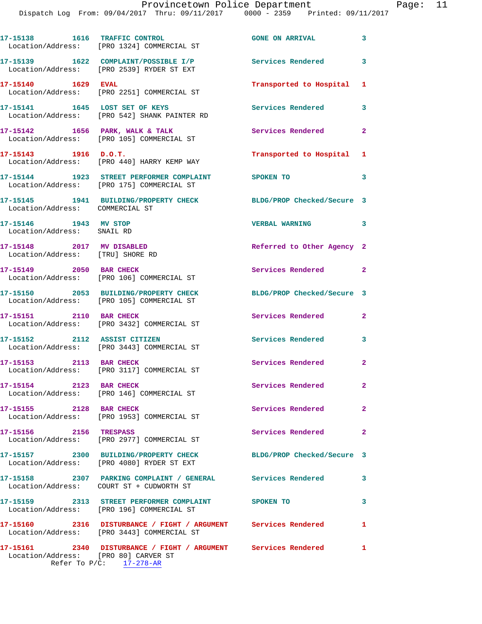Dispatch Log From: 09/04/2017 Thru: 09/11/2017 0000 - 2359 Printed: 09/11/2017

**17-15138 1616 TRAFFIC CONTROL GONE ON ARRIVAL 3**  Location/Address: [PRO 1324] COMMERCIAL ST **17-15139 1622 COMPLAINT/POSSIBLE I/P Services Rendered 3**  Location/Address: [PRO 2539] RYDER ST EXT **17-15140 1629 EVAL Transported to Hospital 1**  Location/Address: [PRO 2251] COMMERCIAL ST **17-15141 1645 LOST SET OF KEYS Services Rendered 3**  Location/Address: [PRO 542] SHANK PAINTER RD **17-15142 1656 PARK, WALK & TALK Services Rendered 2**  Location/Address: [PRO 105] COMMERCIAL ST **17-15143 1916 D.O.T. Transported to Hospital 1**  Location/Address: [PRO 440] HARRY KEMP WAY **17-15144 1923 STREET PERFORMER COMPLAINT SPOKEN TO 3**  Location/Address: [PRO 175] COMMERCIAL ST **17-15145 1941 BUILDING/PROPERTY CHECK BLDG/PROP Checked/Secure 3**  Location/Address: COMMERCIAL ST **17-15146 1943 MV STOP VERBAL WARNING 3**  Location/Address: SNAIL RD **17-15148 2017 MV DISABLED Referred to Other Agency 2**  Location/Address: [TRU] SHORE RD **17-15149 2050 BAR CHECK Services Rendered 2**  Location/Address: [PRO 106] COMMERCIAL ST **17-15150 2053 BUILDING/PROPERTY CHECK BLDG/PROP Checked/Secure 3**  Location/Address: [PRO 105] COMMERCIAL ST **17-15151 2110 BAR CHECK Services Rendered 2**  Location/Address: [PRO 3432] COMMERCIAL ST **17-15152 2112 ASSIST CITIZEN Services Rendered 3**  Location/Address: [PRO 3443] COMMERCIAL ST **17-15153 2113 BAR CHECK Services Rendered 2**  Location/Address: [PRO 3117] COMMERCIAL ST **17-15154 2123 BAR CHECK Services Rendered 2**  Location/Address: [PRO 146] COMMERCIAL ST **17-15155 2128 BAR CHECK Services Rendered 2**  Location/Address: [PRO 1953] COMMERCIAL ST **17-15156 2156 TRESPASS Services Rendered 2**  Location/Address: [PRO 2977] COMMERCIAL ST **17-15157 2300 BUILDING/PROPERTY CHECK BLDG/PROP Checked/Secure 3**  Location/Address: [PRO 4080] RYDER ST EXT **17-15158 2307 PARKING COMPLAINT / GENERAL Services Rendered 3**  Location/Address: COURT ST + CUDWORTH ST **17-15159 2313 STREET PERFORMER COMPLAINT SPOKEN TO 3**  Location/Address: [PRO 196] COMMERCIAL ST **17-15160 2316 DISTURBANCE / FIGHT / ARGUMENT Services Rendered 1**  Location/Address: [PRO 3443] COMMERCIAL ST **17-15161 2340 DISTURBANCE / FIGHT / ARGUMENT Services Rendered 1** 

 Location/Address: [PRO 80] CARVER ST Refer To P/C: 17-278-AR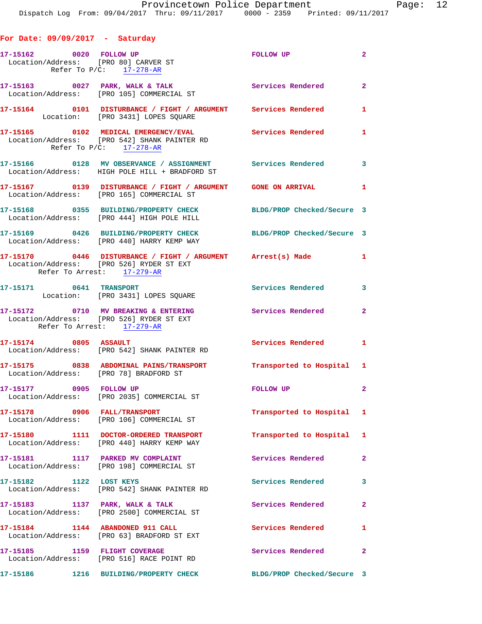| For Date: $09/09/2017$ - Saturday                               |                                                                                                                                     |                            |                         |
|-----------------------------------------------------------------|-------------------------------------------------------------------------------------------------------------------------------------|----------------------------|-------------------------|
| 17-15162 0020 FOLLOW UP<br>Location/Address: [PRO 80] CARVER ST | Refer To $P/C$ : 17-278-AR                                                                                                          | FOLLOW UP                  | $\overline{\mathbf{2}}$ |
|                                                                 | 17-15163 0027 PARK, WALK & TALK<br>Location/Address: [PRO 105] COMMERCIAL ST                                                        | Services Rendered 2        |                         |
|                                                                 | 17-15164 0101 DISTURBANCE / FIGHT / ARGUMENT Services Rendered 1<br>Location: [PRO 3431] LOPES SQUARE                               |                            |                         |
|                                                                 | 17-15165 0102 MEDICAL EMERGENCY/EVAL Services Rendered 1<br>Location/Address: [PRO 542] SHANK PAINTER RD<br>Refer To P/C: 17-278-AR |                            |                         |
|                                                                 | 17-15166 0128 MV OBSERVANCE / ASSIGNMENT Services Rendered 3<br>Location/Address: HIGH POLE HILL + BRADFORD ST                      |                            |                         |
|                                                                 | 17-15167   0139   DISTURBANCE / FIGHT / ARGUMENT   GONE ON ARRIVAL   1<br>Location/Address: [PRO 165] COMMERCIAL ST                 |                            |                         |
|                                                                 | 17-15168 0355 BUILDING/PROPERTY CHECK BLDG/PROP Checked/Secure 3<br>Location/Address: [PRO 444] HIGH POLE HILL                      |                            |                         |
|                                                                 | 17-15169 0426 BUILDING/PROPERTY CHECK BLDG/PROP Checked/Secure 3<br>Location/Address: [PRO 440] HARRY KEMP WAY                      |                            |                         |
| Refer To Arrest: 17-279-AR                                      | 17-15170 0446 DISTURBANCE / FIGHT / ARGUMENT Arrest(s) Made 1<br>Location/Address: [PRO 526] RYDER ST EXT                           |                            |                         |
| 17-15171 0641 TRANSPORT                                         | Location: [PRO 3431] LOPES SQUARE                                                                                                   | Services Rendered 3        |                         |
| Refer To Arrest: 17-279-AR                                      | 17-15172 0710 MV BREAKING & ENTERING Services Rendered 2<br>Location/Address: [PRO 526] RYDER ST EXT                                |                            |                         |
| 17-15174 0805 ASSAULT                                           | Location/Address: [PRO 542] SHANK PAINTER RD                                                                                        | Services Rendered 1        |                         |
| Location/Address: [PRO 78] BRADFORD ST                          | 17-15175 0838 ABDOMINAL PAINS/TRANSPORT Transported to Hospital 1                                                                   |                            |                         |
| 17-15177 0905 FOLLOW UP                                         | Location/Address: [PRO 2035] COMMERCIAL ST                                                                                          | FOLLOW UP<br>$\sim$ 2      |                         |
| 17-15178 0906 FALL/TRANSPORT                                    | Location/Address: [PRO 106] COMMERCIAL ST                                                                                           | Transported to Hospital 1  |                         |
|                                                                 | 17-15180 1111 DOCTOR-ORDERED TRANSPORT<br>Location/Address: [PRO 440] HARRY KEMP WAY                                                | Transported to Hospital 1  |                         |
|                                                                 | 17-15181 1117 PARKED MV COMPLAINT<br>Location/Address: [PRO 198] COMMERCIAL ST                                                      | Services Rendered          | $\overline{2}$          |
| 17-15182 1122 LOST KEYS                                         | Location/Address: [PRO 542] SHANK PAINTER RD                                                                                        | Services Rendered          | $\mathbf{3}$            |
|                                                                 | 17-15183 1137 PARK, WALK & TALK<br>Location/Address: [PRO 2500] COMMERCIAL ST                                                       | Services Rendered          | $\mathbf{2}$            |
| 17-15184 1144 ABANDONED 911 CALL                                | Location/Address: [PRO 63] BRADFORD ST EXT                                                                                          | Services Rendered          | $\mathbf{1}$            |
|                                                                 | 17-15185 1159 FLIGHT COVERAGE<br>Location/Address: [PRO 516] RACE POINT RD                                                          | Services Rendered          | $\mathbf{2}$            |
|                                                                 | 17-15186 1216 BUILDING/PROPERTY CHECK                                                                                               | BLDG/PROP Checked/Secure 3 |                         |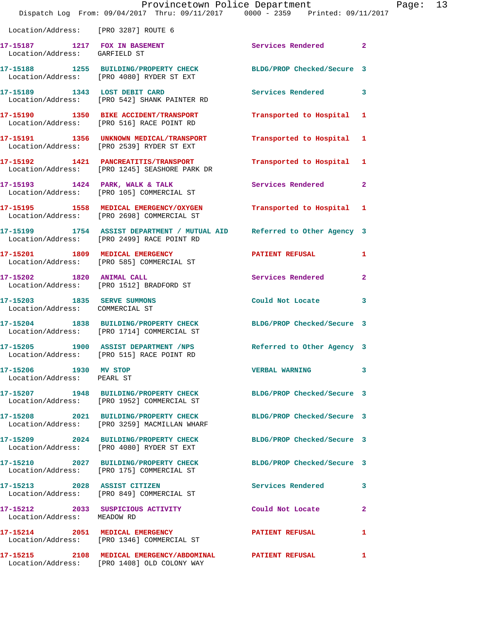|                                                                | Dispatch Log From: 09/04/2017 Thru: 09/11/2017 0000 - 2359 Printed: 09/11/2017                                        | Provincetown Police Department |                | Page: 13 |  |
|----------------------------------------------------------------|-----------------------------------------------------------------------------------------------------------------------|--------------------------------|----------------|----------|--|
| Location/Address: [PRO 3287] ROUTE 6                           |                                                                                                                       |                                |                |          |  |
| Location/Address: GARFIELD ST                                  | 17-15187 1217 FOX IN BASEMENT                                                                                         | Services Rendered 2            |                |          |  |
|                                                                | 17-15188 1255 BUILDING/PROPERTY CHECK<br>Location/Address: [PRO 4080] RYDER ST EXT                                    | BLDG/PROP Checked/Secure 3     |                |          |  |
|                                                                | 17-15189                1343     LOST DEBIT CARD<br>Location/Address:      [PRO 542] SHANK PAINTER RD                 | Services Rendered 3            |                |          |  |
|                                                                | 17-15190 1350 BIKE ACCIDENT/TRANSPORT<br>Location/Address: [PRO 516] RACE POINT RD                                    | Transported to Hospital 1      |                |          |  |
|                                                                | 17-15191 1356 UNKNOWN MEDICAL/TRANSPORT<br>Location/Address: [PRO 2539] RYDER ST EXT                                  | Transported to Hospital 1      |                |          |  |
|                                                                | 17-15192 1421 PANCREATITIS/TRANSPORT<br>Location/Address: [PRO 1245] SEASHORE PARK DR                                 | Transported to Hospital 1      |                |          |  |
|                                                                | 17-15193 1424 PARK, WALK & TALK<br>Location/Address: [PRO 105] COMMERCIAL ST                                          | Services Rendered 2            |                |          |  |
|                                                                | 17-15195 1558 MEDICAL EMERGENCY/OXYGEN<br>Location/Address: [PRO 2698] COMMERCIAL ST                                  | Transported to Hospital 1      |                |          |  |
|                                                                | 17-15199 1754 ASSIST DEPARTMENT / MUTUAL AID Referred to Other Agency 3<br>Location/Address: [PRO 2499] RACE POINT RD |                                |                |          |  |
|                                                                | 17-15201 1809 MEDICAL EMERGENCY<br>Location/Address: [PRO 585] COMMERCIAL ST                                          | PATIENT REFUSAL                | 1              |          |  |
| 17-15202 1820 ANIMAL CALL                                      | Location/Address: [PRO 1512] BRADFORD ST                                                                              | Services Rendered              | $\overline{2}$ |          |  |
| 17-15203 1835 SERVE SUMMONS<br>Location/Address: COMMERCIAL ST |                                                                                                                       | Could Not Locate               | 3              |          |  |
|                                                                | 17-15204 1838 BUILDING/PROPERTY CHECK BLDG/PROP Checked/Secure 3<br>Location/Address: [PRO 1714] COMMERCIAL ST        |                                |                |          |  |
|                                                                | 17-15205 1900 ASSIST DEPARTMENT /NPS<br>Location/Address: [PRO 515] RACE POINT RD                                     | Referred to Other Agency 3     |                |          |  |
| 17-15206 1930 MV STOP<br>Location/Address: PEARL ST            |                                                                                                                       | <b>VERBAL WARNING</b>          | 3              |          |  |
|                                                                | 17-15207 1948 BUILDING/PROPERTY CHECK BLDG/PROP Checked/Secure 3<br>Location/Address: [PRO 1952] COMMERCIAL ST        |                                |                |          |  |
|                                                                | 17-15208 2021 BUILDING/PROPERTY CHECK BLDG/PROP Checked/Secure 3<br>Location/Address: [PRO 3259] MACMILLAN WHARF      |                                |                |          |  |
|                                                                | 17-15209 2024 BUILDING/PROPERTY CHECK<br>Location/Address: [PRO 4080] RYDER ST EXT                                    | BLDG/PROP Checked/Secure 3     |                |          |  |
|                                                                | 17-15210 2027 BUILDING/PROPERTY CHECK BLDG/PROP Checked/Secure 3<br>Location/Address: [PRO 175] COMMERCIAL ST         |                                |                |          |  |
|                                                                | 17-15213 2028 ASSIST CITIZEN<br>Location/Address: [PRO 849] COMMERCIAL ST                                             | Services Rendered              | 3              |          |  |
| Location/Address: MEADOW RD                                    | 17-15212 2033 SUSPICIOUS ACTIVITY Could Not Locate                                                                    |                                | $\mathbf{2}$   |          |  |
|                                                                | 17-15214 2051 MEDICAL EMERGENCY<br>Location/Address: [PRO 1346] COMMERCIAL ST                                         | PATIENT REFUSAL                | $\mathbf{1}$   |          |  |
|                                                                | 17-15215 2108 MEDICAL EMERGENCY/ABDOMINAL PATIENT REFUSAL<br>Location/Address: [PRO 1408] OLD COLONY WAY              |                                | $\mathbf{1}$   |          |  |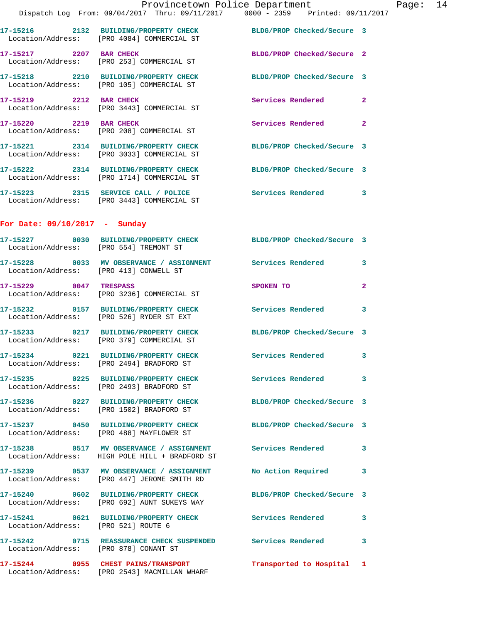|                                        | Provincetown Police Department<br>Dispatch Log From: 09/04/2017 Thru: 09/11/2017 0000 - 2359 Printed: 09/11/2017 |                            |                         |
|----------------------------------------|------------------------------------------------------------------------------------------------------------------|----------------------------|-------------------------|
|                                        | 17-15216 2132 BUILDING/PROPERTY CHECK BLDG/PROP Checked/Secure 3<br>Location/Address: [PRO 4084] COMMERCIAL ST   |                            |                         |
| 17-15217 2207 BAR CHECK                | Location/Address: [PRO 253] COMMERCIAL ST                                                                        | BLDG/PROP Checked/Secure 2 |                         |
|                                        | 17-15218 2210 BUILDING/PROPERTY CHECK BLDG/PROP Checked/Secure 3<br>Location/Address: [PRO 105] COMMERCIAL ST    |                            |                         |
|                                        | 17-15219 2212 BAR CHECK<br>Location/Address: [PRO 3443] COMMERCIAL ST                                            | Services Rendered          | $\mathbf{2}$            |
| 17-15220 2219 BAR CHECK                | Location/Address: [PRO 208] COMMERCIAL ST                                                                        | Services Rendered          | $\mathbf{2}$            |
|                                        | 17-15221 2314 BUILDING/PROPERTY CHECK<br>Location/Address: [PRO 3033] COMMERCIAL ST                              | BLDG/PROP Checked/Secure 3 |                         |
|                                        | 17-15222 2314 BUILDING/PROPERTY CHECK BLDG/PROP Checked/Secure 3<br>Location/Address: [PRO 1714] COMMERCIAL ST   |                            |                         |
|                                        | 17-15223 2315 SERVICE CALL / POLICE<br>Location/Address: [PRO 3443] COMMERCIAL ST                                | Services Rendered          | 3                       |
| For Date: $09/10/2017$ - Sunday        |                                                                                                                  |                            |                         |
| Location/Address: [PRO 554] TREMONT ST | 17-15227 0030 BUILDING/PROPERTY CHECK BLDG/PROP Checked/Secure 3                                                 |                            |                         |
| Location/Address: [PRO 413] CONWELL ST | 17-15228 0033 MV OBSERVANCE / ASSIGNMENT Services Rendered                                                       |                            | 3                       |
| 17-15229 0047 TRESPASS                 | Location/Address: [PRO 3236] COMMERCIAL ST                                                                       | SPOKEN TO                  | $\overline{\mathbf{2}}$ |
|                                        | 17-15232 0157 BUILDING/PROPERTY CHECK<br>Location/Address: [PRO 526] RYDER ST EXT                                | Services Rendered          | 3                       |
|                                        | 17-15233 0217 BUILDING/PROPERTY CHECK BLDG/PROP Checked/Secure 3<br>Location/Address: [PRO 379] COMMERCIAL ST    |                            |                         |
|                                        | 17-15234 0221 BUILDING/PROPERTY CHECK Services Rendered<br>Location/Address: [PRO 2494] BRADFORD ST              |                            | 3                       |
|                                        | 17-15235 0225 BUILDING/PROPERTY CHECK<br>Location/Address: [PRO 2493] BRADFORD ST                                | Services Rendered          | 3                       |
|                                        | 17-15236 0227 BUILDING/PROPERTY CHECK BLDG/PROP Checked/Secure 3<br>Location/Address: [PRO 1502] BRADFORD ST     |                            |                         |
|                                        | 17-15237 0450 BUILDING/PROPERTY CHECK<br>Location/Address: [PRO 488] MAYFLOWER ST                                | BLDG/PROP Checked/Secure 3 |                         |
|                                        | 17-15238 0517 MV OBSERVANCE / ASSIGNMENT Services Rendered<br>Location/Address: HIGH POLE HILL + BRADFORD ST     |                            | 3                       |
|                                        | 17-15239 0537 MV OBSERVANCE / ASSIGNMENT<br>Location/Address: [PRO 447] JEROME SMITH RD                          | No Action Required         | 3                       |
|                                        | 17-15240 0602 BUILDING/PROPERTY CHECK BLDG/PROP Checked/Secure 3<br>Location/Address: [PRO 692] AUNT SUKEYS WAY  |                            |                         |
| Location/Address: [PRO 521] ROUTE 6    | 17-15241 0621 BUILDING/PROPERTY CHECK Services Rendered                                                          |                            | 3                       |
| Location/Address: [PRO 878] CONANT ST  | 17-15242 0715 REASSURANCE CHECK SUSPENDED Services Rendered                                                      |                            | 3                       |
|                                        | 17-15244 0955 CHEST PAINS/TRANSPORT Transported to Hospital<br>Location/Address: [PRO 2543] MACMILLAN WHARF      |                            | 1                       |
|                                        |                                                                                                                  |                            |                         |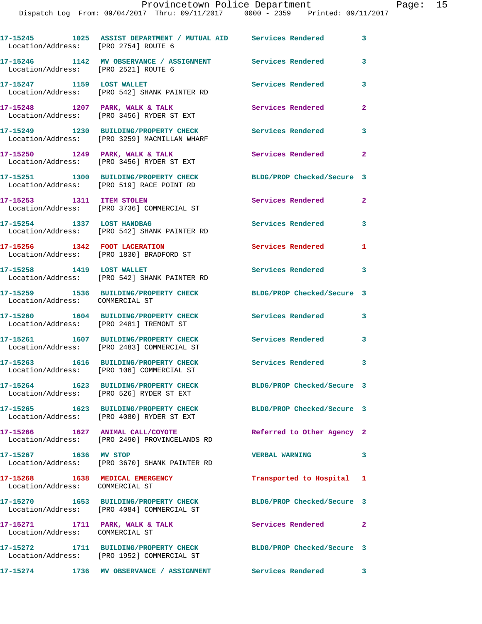| Location/Address: [PRO 2754] ROUTE 6                               | 17-15245 1025 ASSIST DEPARTMENT / MUTUAL AID Services Rendered                                                 |                            | 3                       |
|--------------------------------------------------------------------|----------------------------------------------------------------------------------------------------------------|----------------------------|-------------------------|
| Location/Address: [PRO 2521] ROUTE 6                               | 17-15246 1142 MV OBSERVANCE / ASSIGNMENT Services Rendered                                                     |                            | 3                       |
| 17-15247 1159 LOST WALLET                                          | Location/Address: [PRO 542] SHANK PAINTER RD                                                                   | Services Rendered          | 3                       |
| $17-15248$ 1207 PARK, WALK & TALK                                  | Location/Address: [PRO 3456] RYDER ST EXT                                                                      | Services Rendered          | $\mathbf{2}$            |
|                                                                    | 17-15249 1230 BUILDING/PROPERTY CHECK<br>Location/Address: [PRO 3259] MACMILLAN WHARF                          | Services Rendered          | 3                       |
|                                                                    | $17-15250$ 1249 PARK, WALK & TALK<br>Location/Address: [PRO 3456] RYDER ST EXT                                 | Services Rendered          | $\overline{2}$          |
|                                                                    | 17-15251 1300 BUILDING/PROPERTY CHECK<br>Location/Address: [PRO 519] RACE POINT RD                             | BLDG/PROP Checked/Secure 3 |                         |
| 17-15253 1311 ITEM STOLEN                                          | Location/Address: [PRO 3736] COMMERCIAL ST                                                                     | Services Rendered          | $\overline{2}$          |
| 17-15254 1337 LOST HANDBAG                                         | Location/Address: [PRO 542] SHANK PAINTER RD                                                                   | Services Rendered          | $\overline{\mathbf{3}}$ |
|                                                                    | 17-15256 1342 FOOT LACERATION<br>Location/Address: [PRO 1830] BRADFORD ST                                      | Services Rendered          | 1                       |
| 17-15258 1419 LOST WALLET                                          | Location/Address: [PRO 542] SHANK PAINTER RD                                                                   | Services Rendered 3        |                         |
| Location/Address: COMMERCIAL ST                                    | 17-15259 1536 BUILDING/PROPERTY CHECK                                                                          | BLDG/PROP Checked/Secure 3 |                         |
|                                                                    | 17-15260 1604 BUILDING/PROPERTY CHECK<br>Location/Address: [PRO 2481] TREMONT ST                               | <b>Services Rendered</b>   | 3                       |
|                                                                    | 17-15261 1607 BUILDING/PROPERTY CHECK<br>Location/Address: [PRO 2483] COMMERCIAL ST                            | <b>Services Rendered</b>   | 3                       |
|                                                                    | 17-15263 1616 BUILDING/PROPERTY CHECK<br>Location/Address: [PRO 106] COMMERCIAL ST                             | Services Rendered          | $\mathbf{3}$            |
|                                                                    | 17-15264 1623 BUILDING/PROPERTY CHECK<br>Location/Address: [PRO 526] RYDER ST EXT                              | BLDG/PROP Checked/Secure 3 |                         |
|                                                                    | 17-15265 1623 BUILDING/PROPERTY CHECK<br>Location/Address: [PRO 4080] RYDER ST EXT                             | BLDG/PROP Checked/Secure 3 |                         |
|                                                                    | 17-15266 1627 ANIMAL CALL/COYOTE<br>Location/Address: [PRO 2490] PROVINCELANDS RD                              | Referred to Other Agency 2 |                         |
| 17-15267 1636 MV STOP                                              | Location/Address: [PRO 3670] SHANK PAINTER RD                                                                  | <b>VERBAL WARNING</b>      | $\overline{\mathbf{3}}$ |
| 17-15268 1638 MEDICAL EMERGENCY<br>Location/Address: COMMERCIAL ST |                                                                                                                | Transported to Hospital 1  |                         |
|                                                                    | 17-15270 1653 BUILDING/PROPERTY CHECK BLDG/PROP Checked/Secure 3<br>Location/Address: [PRO 4084] COMMERCIAL ST |                            |                         |
| Location/Address: COMMERCIAL ST                                    | 17-15271 1711 PARK, WALK & TALK                                                                                | Services Rendered 2        |                         |
|                                                                    | 17-15272 1711 BUILDING/PROPERTY CHECK BLDG/PROP Checked/Secure 3<br>Location/Address: [PRO 1952] COMMERCIAL ST |                            |                         |
|                                                                    | 17-15274 1736 MV OBSERVANCE / ASSIGNMENT Services Rendered 3                                                   |                            |                         |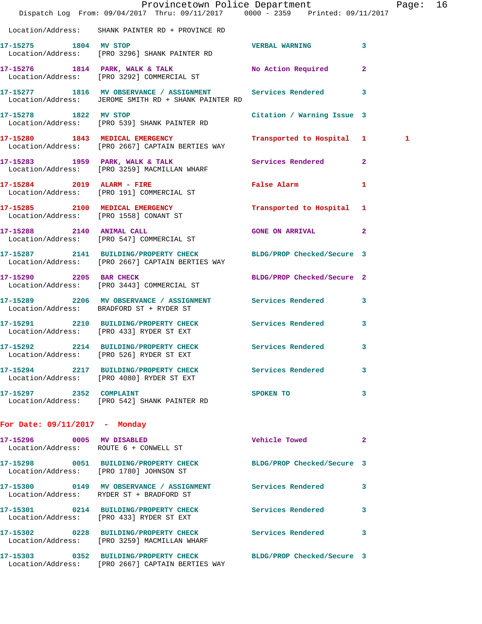|                               | Dispatch Log From: 09/04/2017 Thru: 09/11/2017 0000 - 2359 Printed: 09/11/2017                                       | Provincetown Police Department |              | Page: 16 |  |
|-------------------------------|----------------------------------------------------------------------------------------------------------------------|--------------------------------|--------------|----------|--|
|                               | Location/Address: SHANK PAINTER RD + PROVINCE RD                                                                     |                                |              |          |  |
| 17-15275 1804 MV STOP         | Location/Address: [PRO 3296] SHANK PAINTER RD                                                                        | VERBAL WARNING 3               |              |          |  |
|                               | 17-15276 1814 PARK, WALK & TALK No Action Required 2<br>Location/Address: [PRO 3292] COMMERCIAL ST                   |                                |              |          |  |
|                               | 17-15277 1816 MV OBSERVANCE / ASSIGNMENT Services Rendered 3<br>Location/Address: JEROME SMITH RD + SHANK PAINTER RD |                                |              |          |  |
|                               | 17-15278 1822 MV STOP<br>Location/Address: [PRO 539] SHANK PAINTER RD                                                | Citation / Warning Issue 3     |              |          |  |
|                               | 17-15280 1843 MEDICAL EMERGENCY<br>Location/Address: [PRO 2667] CAPTAIN BERTIES WAY                                  | Transported to Hospital 1      |              | 1        |  |
|                               | 17-15283 1959 PARK, WALK & TALK<br>Location/Address: [PRO 3259] MACMILLAN WHARF                                      | Services Rendered 2            |              |          |  |
|                               | 17-15284 2019 ALARM - FIRE<br>Location/Address: [PRO 191] COMMERCIAL ST                                              | False Alarm                    | 1            |          |  |
|                               | 17-15285 2100 MEDICAL EMERGENCY<br>Location/Address: [PRO 1558] CONANT ST                                            | Transported to Hospital 1      |              |          |  |
|                               | 17-15288 2140 ANIMAL CALL<br>Location/Address: [PRO 547] COMMERCIAL ST                                               | <b>GONE ON ARRIVAL</b>         | $\mathbf{2}$ |          |  |
|                               | 17-15287 2141 BUILDING/PROPERTY CHECK BLDG/PROP Checked/Secure 3<br>Location/Address: [PRO 2667] CAPTAIN BERTIES WAY |                                |              |          |  |
|                               | 17-15290 2205 BAR CHECK<br>Location/Address: [PRO 3443] COMMERCIAL ST                                                | BLDG/PROP Checked/Secure 2     |              |          |  |
|                               | 17-15289 2206 MV OBSERVANCE / ASSIGNMENT Services Rendered 3<br>Location/Address: BRADFORD ST + RYDER ST             |                                |              |          |  |
|                               | 17-15291 2210 BUILDING/PROPERTY CHECK Services Rendered<br>Location/Address: [PRO 433] RYDER ST EXT                  |                                | 3            |          |  |
|                               | 17-15292 2214 BUILDING/PROPERTY CHECK Services Rendered 3<br>Location/Address: [PRO 526] RYDER ST EXT                |                                |              |          |  |
|                               | 17-15294 2217 BUILDING/PROPERTY CHECK Services Rendered 3<br>Location/Address: [PRO 4080] RYDER ST EXT               |                                |              |          |  |
|                               | 17-15297 2352 COMPLAINT<br>Location/Address: [PRO 542] SHANK PAINTER RD                                              | SPOKEN TO                      | 3            |          |  |
| For Date: 09/11/2017 - Monday |                                                                                                                      |                                |              |          |  |
|                               | 17-15296 0005 MV DISABLED<br>Location/Address: ROUTE 6 + CONWELL ST                                                  | Vehicle Towed 2                |              |          |  |
|                               | 17-15298 0051 BUILDING/PROPERTY CHECK BLDG/PROP Checked/Secure 3<br>Location/Address: [PRO 1780] JOHNSON ST          |                                |              |          |  |
|                               | 17-15300 0149 MV OBSERVANCE / ASSIGNMENT Services Rendered 3<br>Location/Address: RYDER ST + BRADFORD ST             |                                |              |          |  |
|                               | 17-15301 0214 BUILDING/PROPERTY CHECK Services Rendered 3<br>Location/Address: [PRO 433] RYDER ST EXT                |                                |              |          |  |
|                               | 17-15302 0228 BUILDING/PROPERTY CHECK Services Rendered 3<br>Location/Address: [PRO 3259] MACMILLAN WHARF            |                                |              |          |  |
|                               | 17-15303 0352 BUILDING/PROPERTY CHECK BLDG/PROP Checked/Secure 3<br>Location/Address: [PRO 2667] CAPTAIN BERTIES WAY |                                |              |          |  |
|                               |                                                                                                                      |                                |              |          |  |